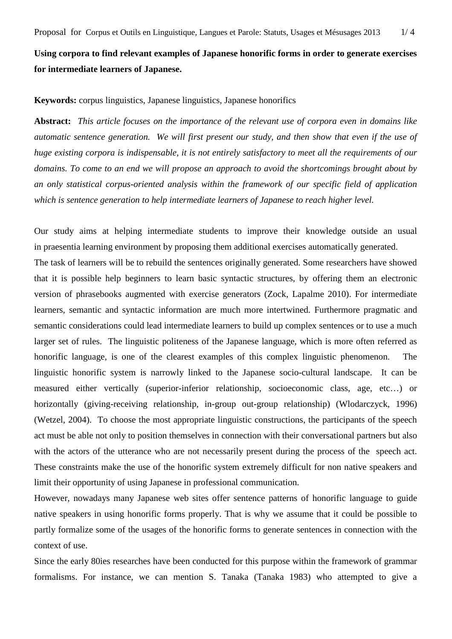## **Using corpora to find relevant examples of Japanese honorific forms in order to generate exercises for intermediate learners of Japanese.**

## **Keywords:** corpus linguistics, Japanese linguistics, Japanese honorifics

**Abstract:** *This article focuses on the importance of the relevant use of corpora even in domains like automatic sentence generation. We will first present our study, and then show that even if the use of huge existing corpora is indispensable, it is not entirely satisfactory to meet all the requirements of our domains. To come to an end we will propose an approach to avoid the shortcomings brought about by an only statistical corpus-oriented analysis within the framework of our specific field of application which is sentence generation to help intermediate learners of Japanese to reach higher level.* 

Our study aims at helping intermediate students to improve their knowledge outside an usual in praesentia learning environment by proposing them additional exercises automatically generated. The task of learners will be to rebuild the sentences originally generated. Some researchers have showed that it is possible help beginners to learn basic syntactic structures, by offering them an electronic version of phrasebooks augmented with exercise generators (Zock, Lapalme 2010). For intermediate learners, semantic and syntactic information are much more intertwined. Furthermore pragmatic and semantic considerations could lead intermediate learners to build up complex sentences or to use a much larger set of rules. The linguistic politeness of the Japanese language, which is more often referred as honorific language, is one of the clearest examples of this complex linguistic phenomenon. The linguistic honorific system is narrowly linked to the Japanese socio-cultural landscape. It can be measured either vertically (superior-inferior relationship, socioeconomic class, age, etc…) or horizontally (giving-receiving relationship, in-group out-group relationship) (Wlodarczyck, 1996) (Wetzel, 2004). To choose the most appropriate linguistic constructions, the participants of the speech act must be able not only to position themselves in connection with their conversational partners but also with the actors of the utterance who are not necessarily present during the process of the speech act. These constraints make the use of the honorific system extremely difficult for non native speakers and limit their opportunity of using Japanese in professional communication.

However, nowadays many Japanese web sites offer sentence patterns of honorific language to guide native speakers in using honorific forms properly. That is why we assume that it could be possible to partly formalize some of the usages of the honorific forms to generate sentences in connection with the context of use.

Since the early 80ies researches have been conducted for this purpose within the framework of grammar formalisms. For instance, we can mention S. Tanaka (Tanaka 1983) who attempted to give a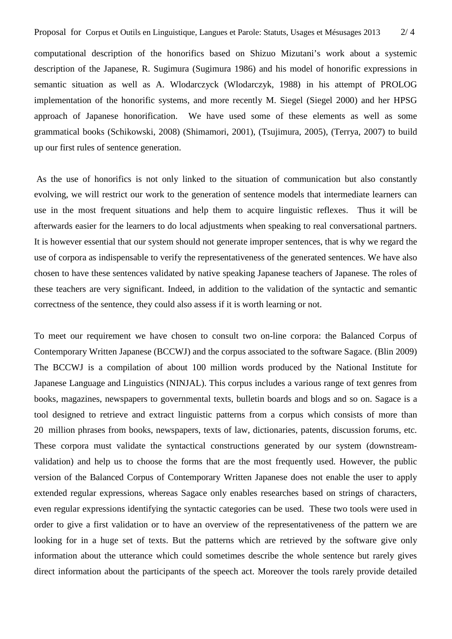computational description of the honorifics based on Shizuo Mizutani's work about a systemic description of the Japanese, R. Sugimura (Sugimura 1986) and his model of honorific expressions in semantic situation as well as A. Wlodarczyck (Wlodarczyk, 1988) in his attempt of PROLOG implementation of the honorific systems, and more recently M. Siegel (Siegel 2000) and her HPSG approach of Japanese honorification. We have used some of these elements as well as some grammatical books (Schikowski, 2008) (Shimamori, 2001), (Tsujimura, 2005), (Terrya, 2007) to build up our first rules of sentence generation.

 As the use of honorifics is not only linked to the situation of communication but also constantly evolving, we will restrict our work to the generation of sentence models that intermediate learners can use in the most frequent situations and help them to acquire linguistic reflexes. Thus it will be afterwards easier for the learners to do local adjustments when speaking to real conversational partners. It is however essential that our system should not generate improper sentences, that is why we regard the use of corpora as indispensable to verify the representativeness of the generated sentences. We have also chosen to have these sentences validated by native speaking Japanese teachers of Japanese. The roles of these teachers are very significant. Indeed, in addition to the validation of the syntactic and semantic correctness of the sentence, they could also assess if it is worth learning or not.

To meet our requirement we have chosen to consult two on-line corpora: the Balanced Corpus of Contemporary Written Japanese (BCCWJ) and the corpus associated to the software Sagace. (Blin 2009) The BCCWJ is a compilation of about 100 million words produced by the National Institute for Japanese Language and Linguistics (NINJAL). This corpus includes a various range of text genres from books, magazines, newspapers to governmental texts, bulletin boards and blogs and so on. Sagace is a tool designed to retrieve and extract linguistic patterns from a corpus which consists of more than 20 million phrases from books, newspapers, texts of law, dictionaries, patents, discussion forums, etc. These corpora must validate the syntactical constructions generated by our system (downstreamvalidation) and help us to choose the forms that are the most frequently used. However, the public version of the Balanced Corpus of Contemporary Written Japanese does not enable the user to apply extended regular expressions, whereas Sagace only enables researches based on strings of characters, even regular expressions identifying the syntactic categories can be used. These two tools were used in order to give a first validation or to have an overview of the representativeness of the pattern we are looking for in a huge set of texts. But the patterns which are retrieved by the software give only information about the utterance which could sometimes describe the whole sentence but rarely gives direct information about the participants of the speech act. Moreover the tools rarely provide detailed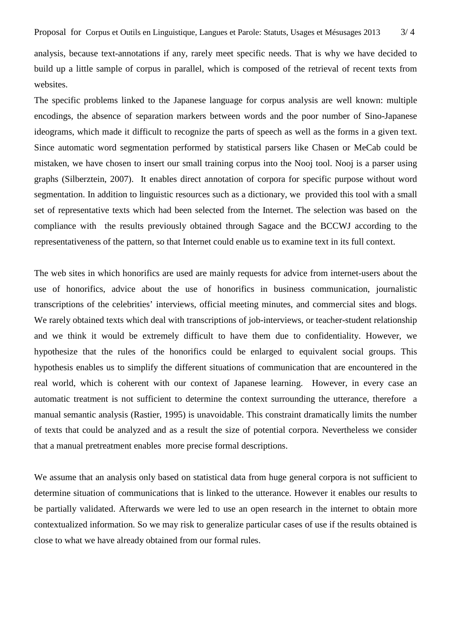analysis, because text-annotations if any, rarely meet specific needs. That is why we have decided to build up a little sample of corpus in parallel, which is composed of the retrieval of recent texts from websites.

The specific problems linked to the Japanese language for corpus analysis are well known: multiple encodings, the absence of separation markers between words and the poor number of Sino-Japanese ideograms, which made it difficult to recognize the parts of speech as well as the forms in a given text. Since automatic word segmentation performed by statistical parsers like Chasen or MeCab could be mistaken, we have chosen to insert our small training corpus into the Nooj tool. Nooj is a parser using graphs (Silberztein, 2007). It enables direct annotation of corpora for specific purpose without word segmentation. In addition to linguistic resources such as a dictionary, we provided this tool with a small set of representative texts which had been selected from the Internet. The selection was based on the compliance with the results previously obtained through Sagace and the BCCWJ according to the representativeness of the pattern, so that Internet could enable us to examine text in its full context.

The web sites in which honorifics are used are mainly requests for advice from internet-users about the use of honorifics, advice about the use of honorifics in business communication, journalistic transcriptions of the celebrities' interviews, official meeting minutes, and commercial sites and blogs. We rarely obtained texts which deal with transcriptions of job-interviews, or teacher-student relationship and we think it would be extremely difficult to have them due to confidentiality. However, we hypothesize that the rules of the honorifics could be enlarged to equivalent social groups. This hypothesis enables us to simplify the different situations of communication that are encountered in the real world, which is coherent with our context of Japanese learning. However, in every case an automatic treatment is not sufficient to determine the context surrounding the utterance, therefore a manual semantic analysis (Rastier, 1995) is unavoidable. This constraint dramatically limits the number of texts that could be analyzed and as a result the size of potential corpora. Nevertheless we consider that a manual pretreatment enables more precise formal descriptions.

We assume that an analysis only based on statistical data from huge general corpora is not sufficient to determine situation of communications that is linked to the utterance. However it enables our results to be partially validated. Afterwards we were led to use an open research in the internet to obtain more contextualized information. So we may risk to generalize particular cases of use if the results obtained is close to what we have already obtained from our formal rules.